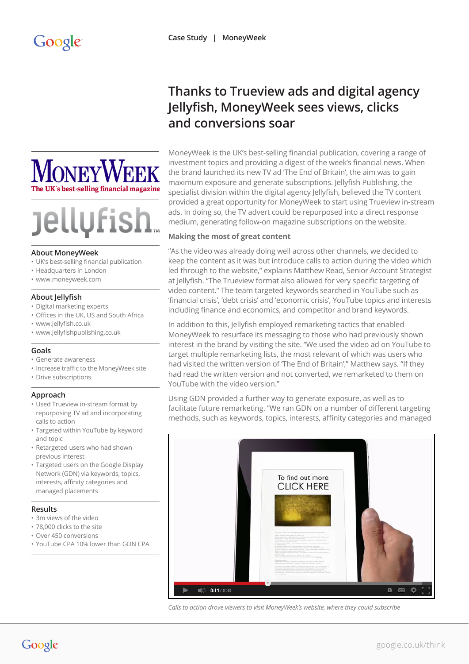# **Thanks to Trueview ads and digital agency Jellyfish, MoneyWeek sees views, clicks and conversions soar**

MoneyWeek is the UK's best-selling financial publication, covering a range of investment topics and providing a digest of the week's financial news. When the brand launched its new TV ad 'The End of Britain', the aim was to gain maximum exposure and generate subscriptions. Jellyfish Publishing, the specialist division within the digital agency Jellyfish, believed the TV content provided a great opportunity for MoneyWeek to start using Trueview in-stream ads. In doing so, the TV advert could be repurposed into a direct response medium, generating follow-on magazine subscriptions on the website.

# **Making the most of great content**

"As the video was already doing well across other channels, we decided to keep the content as it was but introduce calls to action during the video which led through to the website," explains Matthew Read, Senior Account Strategist at Jellyfish. "The Trueview format also allowed for very specific targeting of video content." The team targeted keywords searched in YouTube such as 'financial crisis', 'debt crisis' and 'economic crisis', YouTube topics and interests including finance and economics, and competitor and brand keywords.

In addition to this, Jellyfish employed remarketing tactics that enabled MoneyWeek to resurface its messaging to those who had previously shown interest in the brand by visiting the site. "We used the video ad on YouTube to target multiple remarketing lists, the most relevant of which was users who had visited the written version of 'The End of Britain'," Matthew says. "If they had read the written version and not converted, we remarketed to them on YouTube with the video version."

Using GDN provided a further way to generate exposure, as well as to facilitate future remarketing. "We ran GDN on a number of different targeting methods, such as keywords, topics, interests, affinity categories and managed



*Calls to action drove viewers to visit MoneyWeek's website, where they could subscribe*



# **Jellufis**

### **About MoneyWeek**

- UK's best-selling financial publication
- Headquarters in London
- www[.moneyweek.com](http://www.moneyweek.com)

# **About Jellyfish**

- Digital marketing experts
- Offices in the UK, US and South Africa
- [www.jellyfish.co.uk](http://www.jellyfish.co.uk)
- [www.jellyfishpublishing.co.uk](http://www.jellyfishpublishing.co.uk)

# **Goals**

- Generate awareness
- Increase traffic to the MoneyWeek site
- Drive subscriptions

# **Approach**

- Used Trueview in-stream format by repurposing TV ad and incorporating calls to action
- Targeted within YouTube by keyword and topic
- Retargeted users who had shown previous interest
- Targeted users on the Google Display Network (GDN) via keywords, topics, interests, affinity categories and managed placements

# **Results**

- 3m views of the video
- 78,000 clicks to the site
- Over 450 conversions
- YouTube CPA 10% lower than GDN CPA